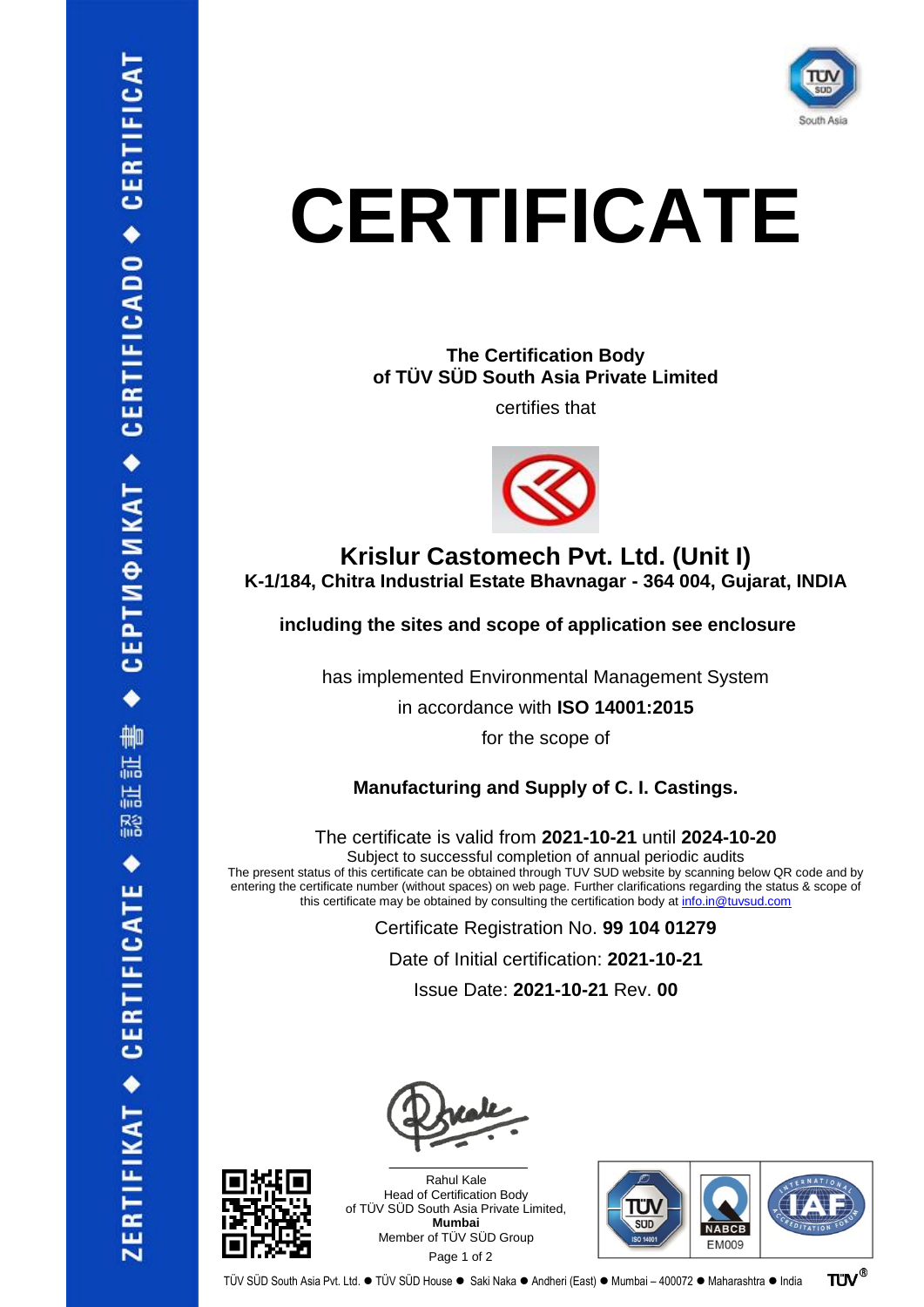

**The Certification Body of TÜV SÜD South Asia Private Limited**

certifies that



### **Krislur Castomech Pvt. Ltd. (Unit I) K-1/184, Chitra Industrial Estate Bhavnagar - 364 004, Gujarat, INDIA**

**including the sites and scope of application see enclosure**

has implemented Environmental Management System

in accordance with **ISO 14001:2015**

for the scope of

### **Manufacturing and Supply of C. I. Castings.**

The certificate is valid from **2021-10-21** until **2024-10-20**

Subject to successful completion of annual periodic audits

The present status of this certificate can be obtained through TUV SUD website by scanning below QR code and by entering the certificate number (without spaces) on web page. Further clarifications regarding the status & scope of this certificate may be obtained by consulting the certification body a[t info.in@tuvsud.com](mailto:info.in@tuvsud.com)

Certificate Registration No. **99 104 01279**

Date of Initial certification: **2021-10-21**

Issue Date: **2021-10-21** Rev. **00**



Rahul Kale Head of Certification Body of TÜV SÜD South Asia Private Limited, **Mumbai** Member of TÜV SÜD Group Page 1 of 2

 $\mathcal{L}$  , and the set of the set of the set of the set of the set of the set of the set of the set of the set of the set of the set of the set of the set of the set of the set of the set of the set of the set of the set

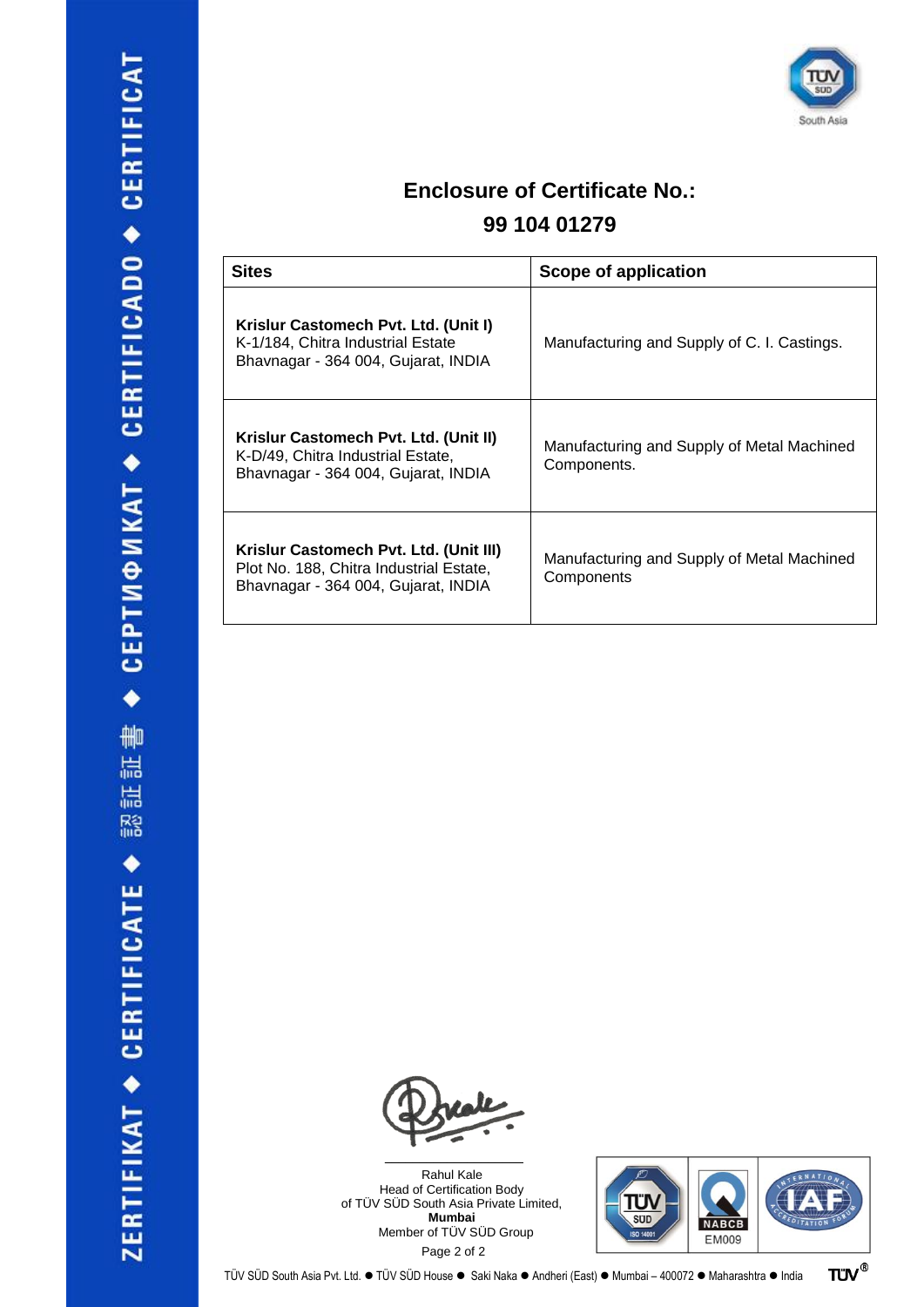

## **Enclosure of Certificate No.:**

## **99 104 01279**

| <b>Sites</b>                                                                                                             | Scope of application                                      |
|--------------------------------------------------------------------------------------------------------------------------|-----------------------------------------------------------|
| Krislur Castomech Pvt. Ltd. (Unit I)<br>K-1/184, Chitra Industrial Estate<br>Bhavnagar - 364 004, Gujarat, INDIA         | Manufacturing and Supply of C. I. Castings.               |
| Krislur Castomech Pvt. Ltd. (Unit II)<br>K-D/49, Chitra Industrial Estate,<br>Bhavnagar - 364 004, Gujarat, INDIA        | Manufacturing and Supply of Metal Machined<br>Components. |
| Krislur Castomech Pvt. Ltd. (Unit III)<br>Plot No. 188, Chitra Industrial Estate,<br>Bhavnagar - 364 004, Gujarat, INDIA | Manufacturing and Supply of Metal Machined<br>Components  |



Rahul Kale Head of Certification Body of TÜV SÜD South Asia Private Limited, **Mumbai** Member of TÜV SÜD Group Page 2 of 2



**TÜV®**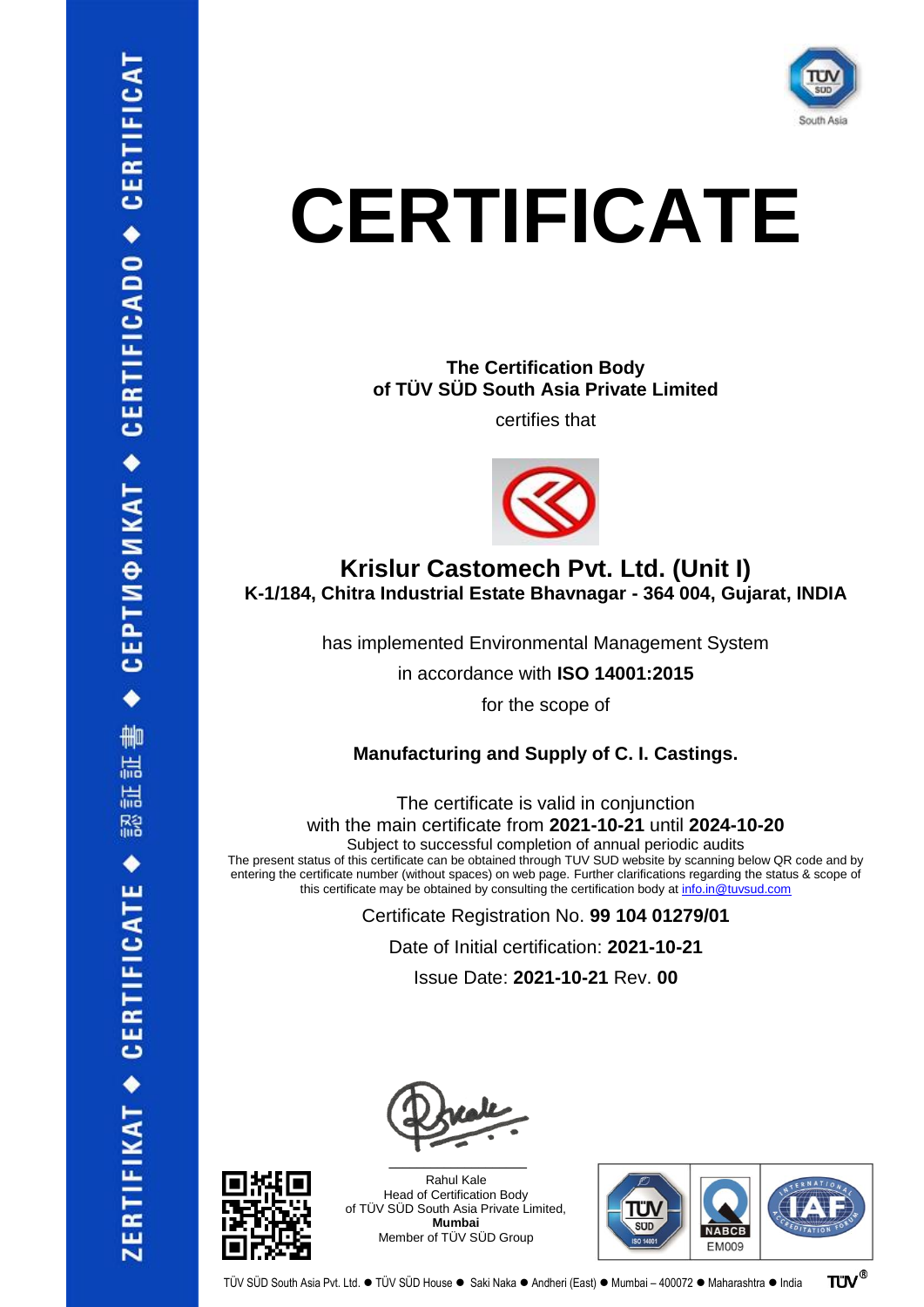

#### **The Certification Body of TÜV SÜD South Asia Private Limited**

certifies that



## **Krislur Castomech Pvt. Ltd. (Unit I) K-1/184, Chitra Industrial Estate Bhavnagar - 364 004, Gujarat, INDIA**

has implemented Environmental Management System

in accordance with **ISO 14001:2015**

for the scope of

### **Manufacturing and Supply of C. I. Castings.**

The certificate is valid in conjunction with the main certificate from **2021-10-21** until **2024-10-20**

Subject to successful completion of annual periodic audits

The present status of this certificate can be obtained through TUV SUD website by scanning below QR code and by entering the certificate number (without spaces) on web page. Further clarifications regarding the status & scope of this certificate may be obtained by consulting the certification body a[t info.in@tuvsud.com](mailto:info.in@tuvsud.com)

> Certificate Registration No. **99 104 01279/01** Date of Initial certification: **2021-10-21** Issue Date: **2021-10-21** Rev. **00**





Rahul Kale Head of Certification Body of TÜV SÜD South Asia Private Limited, **Mumbai** Member of TÜV SÜD Group

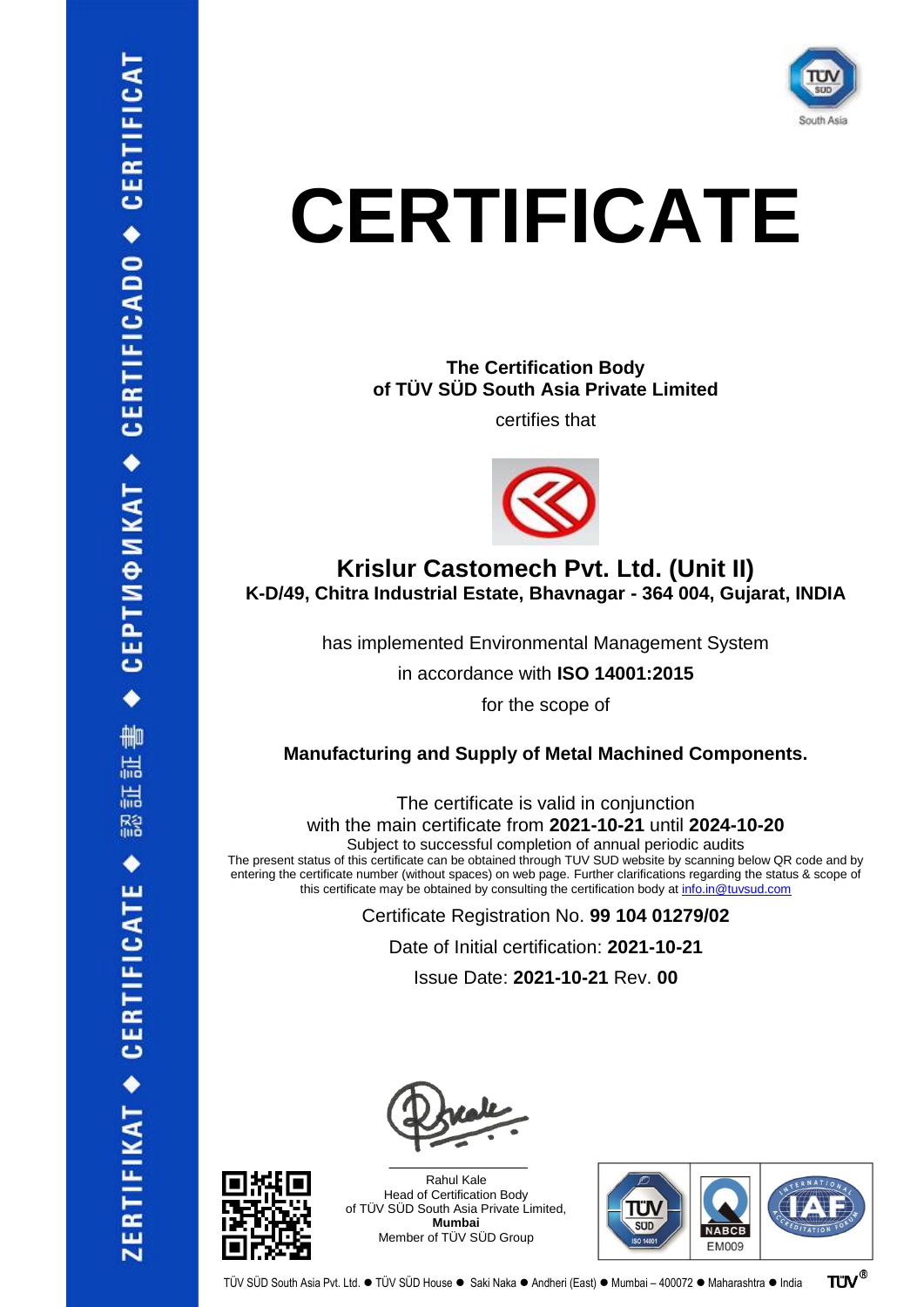

**The Certification Body of TÜV SÜD South Asia Private Limited**

certifies that



## **Krislur Castomech Pvt. Ltd. (Unit II) K-D/49, Chitra Industrial Estate, Bhavnagar - 364 004, Gujarat, INDIA**

has implemented Environmental Management System

in accordance with **ISO 14001:2015**

for the scope of

#### **Manufacturing and Supply of Metal Machined Components.**

The certificate is valid in conjunction with the main certificate from **2021-10-21** until **2024-10-20**

Subject to successful completion of annual periodic audits

The present status of this certificate can be obtained through TUV SUD website by scanning below QR code and by entering the certificate number (without spaces) on web page. Further clarifications regarding the status & scope of this certificate may be obtained by consulting the certification body a[t info.in@tuvsud.com](mailto:info.in@tuvsud.com)

> Certificate Registration No. **99 104 01279/02** Date of Initial certification: **2021-10-21** Issue Date: **2021-10-21** Rev. **00**